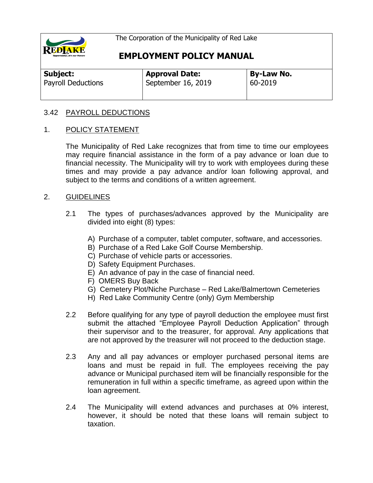

**EMPLOYMENT POLICY MANUAL**

| Subject:                  | <b>Approval Date:</b> | <b>By-Law No.</b> |
|---------------------------|-----------------------|-------------------|
| <b>Payroll Deductions</b> | September 16, 2019    | 60-2019           |

#### 3.42 PAYROLL DEDUCTIONS

#### 1. POLICY STATEMENT

The Municipality of Red Lake recognizes that from time to time our employees may require financial assistance in the form of a pay advance or loan due to financial necessity. The Municipality will try to work with employees during these times and may provide a pay advance and/or loan following approval, and subject to the terms and conditions of a written agreement.

#### 2. GUIDELINES

- 2.1 The types of purchases/advances approved by the Municipality are divided into eight (8) types:
	- A) Purchase of a computer, tablet computer, software, and accessories.
	- B) Purchase of a Red Lake Golf Course Membership.
	- C) Purchase of vehicle parts or accessories.
	- D) Safety Equipment Purchases.
	- E) An advance of pay in the case of financial need.
	- F) OMERS Buy Back
	- G) Cemetery Plot/Niche Purchase Red Lake/Balmertown Cemeteries
	- H) Red Lake Community Centre (only) Gym Membership
- 2.2 Before qualifying for any type of payroll deduction the employee must first submit the attached "Employee Payroll Deduction Application" through their supervisor and to the treasurer, for approval. Any applications that are not approved by the treasurer will not proceed to the deduction stage.
- 2.3 Any and all pay advances or employer purchased personal items are loans and must be repaid in full. The employees receiving the pay advance or Municipal purchased item will be financially responsible for the remuneration in full within a specific timeframe, as agreed upon within the loan agreement.
- 2.4 The Municipality will extend advances and purchases at 0% interest, however, it should be noted that these loans will remain subject to taxation.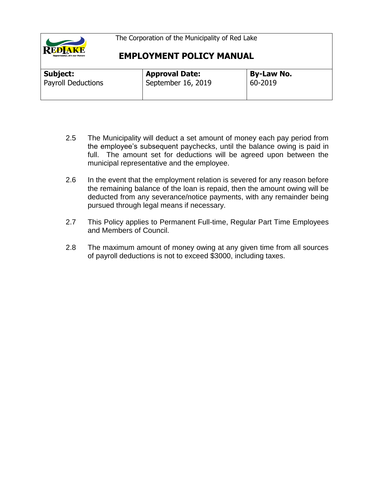

| <b>Subject:</b>           | <b>Approval Date:</b> | By-Law No.  |
|---------------------------|-----------------------|-------------|
| <b>Payroll Deductions</b> | September 16, 2019    | $60 - 2019$ |
|                           |                       |             |

- 2.5 The Municipality will deduct a set amount of money each pay period from the employee's subsequent paychecks, until the balance owing is paid in full. The amount set for deductions will be agreed upon between the municipal representative and the employee.
- 2.6 In the event that the employment relation is severed for any reason before the remaining balance of the loan is repaid, then the amount owing will be deducted from any severance/notice payments, with any remainder being pursued through legal means if necessary.
- 2.7 This Policy applies to Permanent Full-time, Regular Part Time Employees and Members of Council.
- 2.8 The maximum amount of money owing at any given time from all sources of payroll deductions is not to exceed \$3000, including taxes.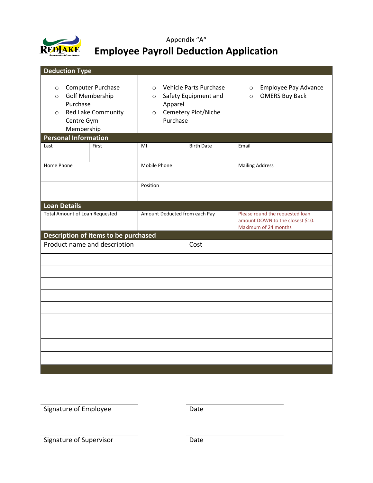

# Appendix "A" **Employee Payroll Deduction Application**

| <b>Deduction Type</b>                                                 |                                                                          |                                                      |                                                                       |                                                                                             |
|-----------------------------------------------------------------------|--------------------------------------------------------------------------|------------------------------------------------------|-----------------------------------------------------------------------|---------------------------------------------------------------------------------------------|
| $\circ$<br>$\circ$<br>Purchase<br>$\circ$<br>Centre Gym<br>Membership | Computer Purchase<br><b>Golf Membership</b><br><b>Red Lake Community</b> | $\circ$<br>$\circ$<br>Apparel<br>$\circ$<br>Purchase | Vehicle Parts Purchase<br>Safety Equipment and<br>Cemetery Plot/Niche | Employee Pay Advance<br>$\circ$<br><b>OMERS Buy Back</b><br>$\circ$                         |
| <b>Personal Information</b>                                           |                                                                          |                                                      |                                                                       |                                                                                             |
| Last                                                                  | First                                                                    | MI                                                   | <b>Birth Date</b>                                                     | Email                                                                                       |
| Home Phone                                                            |                                                                          | Mobile Phone                                         |                                                                       | <b>Mailing Address</b>                                                                      |
| Position                                                              |                                                                          |                                                      |                                                                       |                                                                                             |
| <b>Loan Details</b>                                                   |                                                                          |                                                      |                                                                       |                                                                                             |
| <b>Total Amount of Loan Requested</b>                                 |                                                                          | Amount Deducted from each Pay                        |                                                                       | Please round the requested loan<br>amount DOWN to the closest \$10.<br>Maximum of 24 months |
|                                                                       | Description of items to be purchased                                     |                                                      |                                                                       |                                                                                             |
|                                                                       | Product name and description                                             |                                                      | Cost                                                                  |                                                                                             |
|                                                                       |                                                                          |                                                      |                                                                       |                                                                                             |
|                                                                       |                                                                          |                                                      |                                                                       |                                                                                             |
|                                                                       |                                                                          |                                                      |                                                                       |                                                                                             |
|                                                                       |                                                                          |                                                      |                                                                       |                                                                                             |
|                                                                       |                                                                          |                                                      |                                                                       |                                                                                             |
|                                                                       |                                                                          |                                                      |                                                                       |                                                                                             |
|                                                                       |                                                                          |                                                      |                                                                       |                                                                                             |
|                                                                       |                                                                          |                                                      |                                                                       |                                                                                             |
|                                                                       |                                                                          |                                                      |                                                                       |                                                                                             |
|                                                                       |                                                                          |                                                      |                                                                       |                                                                                             |

Signature of Employee Date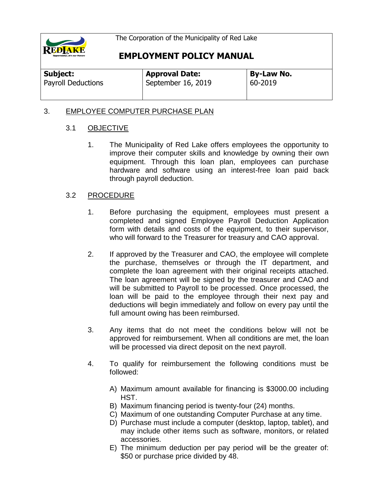

# **EMPLOYMENT POLICY MANUAL**

| Subject: |                           |
|----------|---------------------------|
|          | <b>Payroll Deductions</b> |

**Approval Date:** September 16, 2019 **By-Law No.** 60-2019

### 3. EMPLOYEE COMPUTER PURCHASE PLAN

### 3.1 OBJECTIVE

1. The Municipality of Red Lake offers employees the opportunity to improve their computer skills and knowledge by owning their own equipment. Through this loan plan, employees can purchase hardware and software using an interest-free loan paid back through payroll deduction.

- 1. Before purchasing the equipment, employees must present a completed and signed Employee Payroll Deduction Application form with details and costs of the equipment, to their supervisor, who will forward to the Treasurer for treasury and CAO approval.
- 2. If approved by the Treasurer and CAO, the employee will complete the purchase, themselves or through the IT department, and complete the loan agreement with their original receipts attached. The loan agreement will be signed by the treasurer and CAO and will be submitted to Payroll to be processed. Once processed, the loan will be paid to the employee through their next pay and deductions will begin immediately and follow on every pay until the full amount owing has been reimbursed.
- 3. Any items that do not meet the conditions below will not be approved for reimbursement. When all conditions are met, the loan will be processed via direct deposit on the next payroll.
- 4. To qualify for reimbursement the following conditions must be followed:
	- A) Maximum amount available for financing is \$3000.00 including HST.
	- B) Maximum financing period is twenty-four (24) months.
	- C) Maximum of one outstanding Computer Purchase at any time.
	- D) Purchase must include a computer (desktop, laptop, tablet), and may include other items such as software, monitors, or related accessories.
	- E) The minimum deduction per pay period will be the greater of: \$50 or purchase price divided by 48.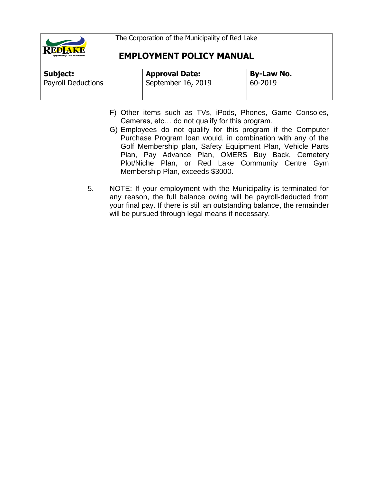

| Subject:                  | <b>Approval Date:</b> | <b>By-Law No.</b> |
|---------------------------|-----------------------|-------------------|
| <b>Payroll Deductions</b> | September 16, 2019    | 60-2019           |
|                           |                       |                   |

- F) Other items such as TVs, iPods, Phones, Game Consoles, Cameras, etc… do not qualify for this program.
- G) Employees do not qualify for this program if the Computer Purchase Program loan would, in combination with any of the Golf Membership plan, Safety Equipment Plan, Vehicle Parts Plan, Pay Advance Plan, OMERS Buy Back, Cemetery Plot/Niche Plan, or Red Lake Community Centre Gym Membership Plan, exceeds \$3000.
- 5. NOTE: If your employment with the Municipality is terminated for any reason, the full balance owing will be payroll-deducted from your final pay. If there is still an outstanding balance, the remainder will be pursued through legal means if necessary.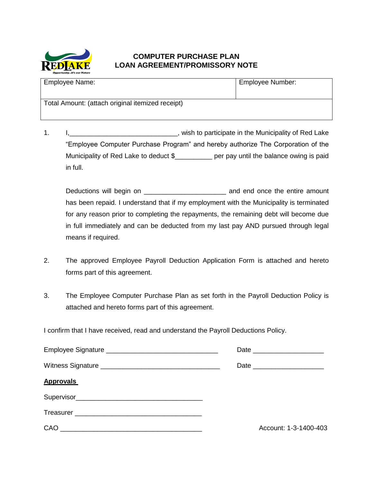

### **COMPUTER PURCHASE PLAN LOAN AGREEMENT/PROMISSORY NOTE**

| Employee Name:                                   | Employee Number: |
|--------------------------------------------------|------------------|
| Total Amount: (attach original itemized receipt) |                  |

1. I,\_\_\_\_\_\_\_\_\_\_\_\_\_\_\_\_\_\_\_\_\_\_\_\_\_\_\_\_\_, wish to participate in the Municipality of Red Lake "Employee Computer Purchase Program" and hereby authorize The Corporation of the Municipality of Red Lake to deduct \$\_\_\_\_\_\_\_\_\_\_ per pay until the balance owing is paid in full.

Deductions will begin on \_\_\_\_\_\_\_\_\_\_\_\_\_\_\_\_\_\_\_\_\_\_ and end once the entire amount has been repaid. I understand that if my employment with the Municipality is terminated for any reason prior to completing the repayments, the remaining debt will become due in full immediately and can be deducted from my last pay AND pursued through legal means if required.

- 2. The approved Employee Payroll Deduction Application Form is attached and hereto forms part of this agreement.
- 3. The Employee Computer Purchase Plan as set forth in the Payroll Deduction Policy is attached and hereto forms part of this agreement.

|                  | Date _________________________ |
|------------------|--------------------------------|
|                  |                                |
| <b>Approvals</b> |                                |
|                  |                                |
|                  |                                |
|                  | Account: 1-3-1400-403          |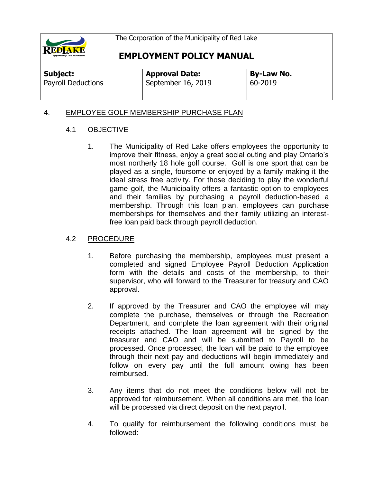

# **EMPLOYMENT POLICY MANUAL**

**Subject:**  Payroll Deductions **Approval Date:** September 16, 2019 **By-Law No.** 60-2019

## 4. EMPLOYEE GOLF MEMBERSHIP PURCHASE PLAN

### 4.1 OBJECTIVE

1. The Municipality of Red Lake offers employees the opportunity to improve their fitness, enjoy a great social outing and play Ontario's most northerly 18 hole golf course. Golf is one sport that can be played as a single, foursome or enjoyed by a family making it the ideal stress free activity. For those deciding to play the wonderful game golf, the Municipality offers a fantastic option to employees and their families by purchasing a payroll deduction-based a membership. Through this loan plan, employees can purchase memberships for themselves and their family utilizing an interestfree loan paid back through payroll deduction.

- 1. Before purchasing the membership, employees must present a completed and signed Employee Payroll Deduction Application form with the details and costs of the membership, to their supervisor, who will forward to the Treasurer for treasury and CAO approval.
- 2. If approved by the Treasurer and CAO the employee will may complete the purchase, themselves or through the Recreation Department, and complete the loan agreement with their original receipts attached. The loan agreement will be signed by the treasurer and CAO and will be submitted to Payroll to be processed. Once processed, the loan will be paid to the employee through their next pay and deductions will begin immediately and follow on every pay until the full amount owing has been reimbursed.
- 3. Any items that do not meet the conditions below will not be approved for reimbursement. When all conditions are met, the loan will be processed via direct deposit on the next payroll.
- 4. To qualify for reimbursement the following conditions must be followed: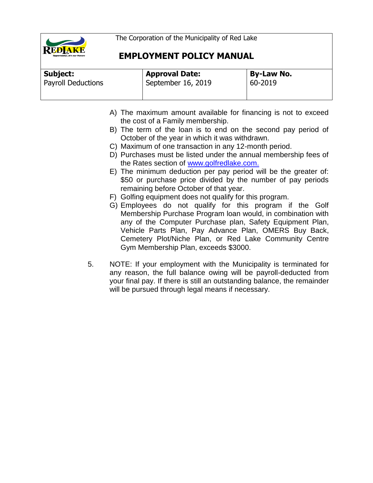

| Subject:                  | <b>Approval Date:</b> | <b>By-Law No.</b> |
|---------------------------|-----------------------|-------------------|
| <b>Payroll Deductions</b> | September 16, 2019    | 60-2019           |
|                           |                       |                   |

- A) The maximum amount available for financing is not to exceed the cost of a Family membership.
- B) The term of the loan is to end on the second pay period of October of the year in which it was withdrawn.
- C) Maximum of one transaction in any 12-month period.
- D) Purchases must be listed under the annual membership fees of the Rates section of [www.golfredlake.com.](http://www.golfredlake.com/)
- E) The minimum deduction per pay period will be the greater of: \$50 or purchase price divided by the number of pay periods remaining before October of that year.
- F) Golfing equipment does not qualify for this program.
- G) Employees do not qualify for this program if the Golf Membership Purchase Program loan would, in combination with any of the Computer Purchase plan, Safety Equipment Plan, Vehicle Parts Plan, Pay Advance Plan, OMERS Buy Back, Cemetery Plot/Niche Plan, or Red Lake Community Centre Gym Membership Plan, exceeds \$3000.
- 5. NOTE: If your employment with the Municipality is terminated for any reason, the full balance owing will be payroll-deducted from your final pay. If there is still an outstanding balance, the remainder will be pursued through legal means if necessary.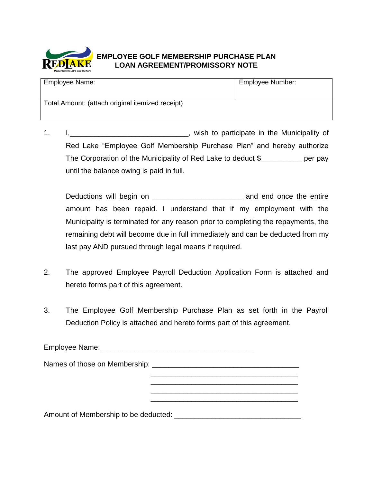

## **EMPLOYEE GOLF MEMBERSHIP PURCHASE PLAN LOAN AGREEMENT/PROMISSORY NOTE**

| <b>Employee Name:</b>                            | <b>Employee Number:</b> |
|--------------------------------------------------|-------------------------|
| Total Amount: (attach original itemized receipt) |                         |

1. I. \_\_\_\_\_\_\_\_\_\_\_\_\_\_\_\_\_\_\_\_\_\_\_\_, wish to participate in the Municipality of Red Lake "Employee Golf Membership Purchase Plan" and hereby authorize The Corporation of the Municipality of Red Lake to deduct \$\_\_\_\_\_\_\_\_\_\_ per pay until the balance owing is paid in full.

Deductions will begin on \_\_\_\_\_\_\_\_\_\_\_\_\_\_\_\_\_\_\_\_\_\_ and end once the entire amount has been repaid. I understand that if my employment with the Municipality is terminated for any reason prior to completing the repayments, the remaining debt will become due in full immediately and can be deducted from my last pay AND pursued through legal means if required.

- 2. The approved Employee Payroll Deduction Application Form is attached and hereto forms part of this agreement.
- 3. The Employee Golf Membership Purchase Plan as set forth in the Payroll Deduction Policy is attached and hereto forms part of this agreement.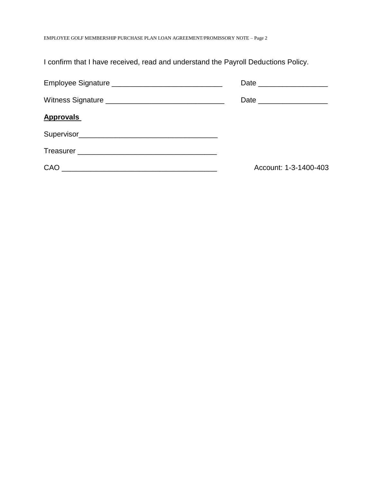EMPLOYEE GOLF MEMBERSHIP PURCHASE PLAN LOAN AGREEMENT/PROMISSORY NOTE – Page 2

| <b>Approvals</b> |                       |
|------------------|-----------------------|
|                  |                       |
|                  |                       |
| CAO              | Account: 1-3-1400-403 |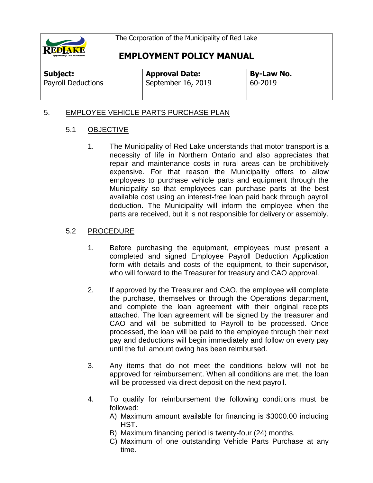

## **EMPLOYMENT POLICY MANUAL**

| Subject: |                           |
|----------|---------------------------|
|          | <b>Payroll Deductions</b> |

**Approval Date:** September 16, 2019 **By-Law No.** 60-2019

### 5. EMPLOYEE VEHICLE PARTS PURCHASE PLAN

### 5.1 OBJECTIVE

1. The Municipality of Red Lake understands that motor transport is a necessity of life in Northern Ontario and also appreciates that repair and maintenance costs in rural areas can be prohibitively expensive. For that reason the Municipality offers to allow employees to purchase vehicle parts and equipment through the Municipality so that employees can purchase parts at the best available cost using an interest-free loan paid back through payroll deduction. The Municipality will inform the employee when the parts are received, but it is not responsible for delivery or assembly.

- 1. Before purchasing the equipment, employees must present a completed and signed Employee Payroll Deduction Application form with details and costs of the equipment, to their supervisor, who will forward to the Treasurer for treasury and CAO approval.
- 2. If approved by the Treasurer and CAO, the employee will complete the purchase, themselves or through the Operations department, and complete the loan agreement with their original receipts attached. The loan agreement will be signed by the treasurer and CAO and will be submitted to Payroll to be processed. Once processed, the loan will be paid to the employee through their next pay and deductions will begin immediately and follow on every pay until the full amount owing has been reimbursed.
- 3. Any items that do not meet the conditions below will not be approved for reimbursement. When all conditions are met, the loan will be processed via direct deposit on the next payroll.
- 4. To qualify for reimbursement the following conditions must be followed:
	- A) Maximum amount available for financing is \$3000.00 including HST.
	- B) Maximum financing period is twenty-four (24) months.
	- C) Maximum of one outstanding Vehicle Parts Purchase at any time.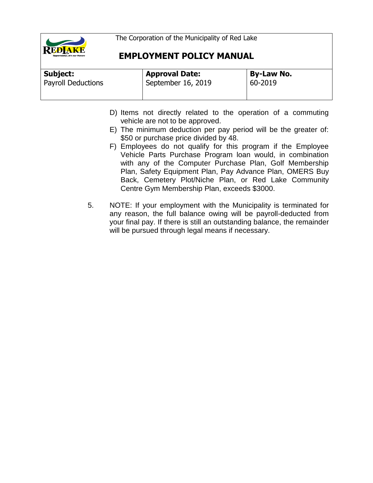

| Subject:                  | <b>Approval Date:</b> | <b>By-Law No.</b> |
|---------------------------|-----------------------|-------------------|
| <b>Payroll Deductions</b> | September 16, 2019    | 60-2019           |
|                           |                       |                   |

- D) Items not directly related to the operation of a commuting vehicle are not to be approved.
- E) The minimum deduction per pay period will be the greater of: \$50 or purchase price divided by 48.
- F) Employees do not qualify for this program if the Employee Vehicle Parts Purchase Program loan would, in combination with any of the Computer Purchase Plan, Golf Membership Plan, Safety Equipment Plan, Pay Advance Plan, OMERS Buy Back, Cemetery Plot/Niche Plan, or Red Lake Community Centre Gym Membership Plan, exceeds \$3000.
- 5. NOTE: If your employment with the Municipality is terminated for any reason, the full balance owing will be payroll-deducted from your final pay. If there is still an outstanding balance, the remainder will be pursued through legal means if necessary.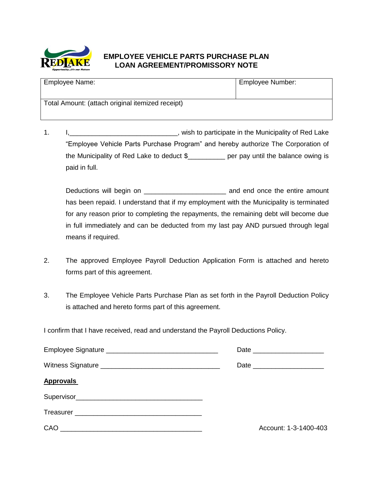

## **EMPLOYEE VEHICLE PARTS PURCHASE PLAN LOAN AGREEMENT/PROMISSORY NOTE**

| <b>Employee Name:</b>                            | Employee Number: |
|--------------------------------------------------|------------------|
| Total Amount: (attach original itemized receipt) |                  |

1. I,\_\_\_\_\_\_\_\_\_\_\_\_\_\_\_\_\_\_\_\_\_\_\_\_\_\_\_\_\_, wish to participate in the Municipality of Red Lake "Employee Vehicle Parts Purchase Program" and hereby authorize The Corporation of the Municipality of Red Lake to deduct \$\_\_\_\_\_\_\_\_\_\_ per pay until the balance owing is paid in full.

Deductions will begin on \_\_\_\_\_\_\_\_\_\_\_\_\_\_\_\_\_\_\_\_\_\_ and end once the entire amount has been repaid. I understand that if my employment with the Municipality is terminated for any reason prior to completing the repayments, the remaining debt will become due in full immediately and can be deducted from my last pay AND pursued through legal means if required.

- 2. The approved Employee Payroll Deduction Application Form is attached and hereto forms part of this agreement.
- 3. The Employee Vehicle Parts Purchase Plan as set forth in the Payroll Deduction Policy is attached and hereto forms part of this agreement.

|                  | Date _________________________ |
|------------------|--------------------------------|
|                  |                                |
| <b>Approvals</b> |                                |
|                  |                                |
|                  |                                |
|                  | Account: 1-3-1400-403          |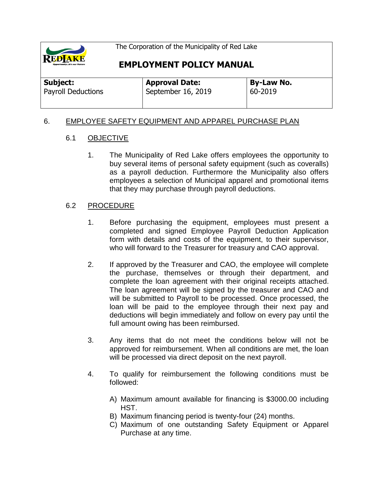

# **EMPLOYMENT POLICY MANUAL**

| Subject:           | <b>Approval Date:</b> | <b>By-Law No.</b> |
|--------------------|-----------------------|-------------------|
| Payroll Deductions | September 16, 2019    | 60-2019           |

#### 6. EMPLOYEE SAFETY EQUIPMENT AND APPAREL PURCHASE PLAN

#### 6.1 OBJECTIVE

1. The Municipality of Red Lake offers employees the opportunity to buy several items of personal safety equipment (such as coveralls) as a payroll deduction. Furthermore the Municipality also offers employees a selection of Municipal apparel and promotional items that they may purchase through payroll deductions.

- 1. Before purchasing the equipment, employees must present a completed and signed Employee Payroll Deduction Application form with details and costs of the equipment, to their supervisor, who will forward to the Treasurer for treasury and CAO approval.
- 2. If approved by the Treasurer and CAO, the employee will complete the purchase, themselves or through their department, and complete the loan agreement with their original receipts attached. The loan agreement will be signed by the treasurer and CAO and will be submitted to Payroll to be processed. Once processed, the loan will be paid to the employee through their next pay and deductions will begin immediately and follow on every pay until the full amount owing has been reimbursed.
- 3. Any items that do not meet the conditions below will not be approved for reimbursement. When all conditions are met, the loan will be processed via direct deposit on the next payroll.
- 4. To qualify for reimbursement the following conditions must be followed:
	- A) Maximum amount available for financing is \$3000.00 including HST.
	- B) Maximum financing period is twenty-four (24) months.
	- C) Maximum of one outstanding Safety Equipment or Apparel Purchase at any time.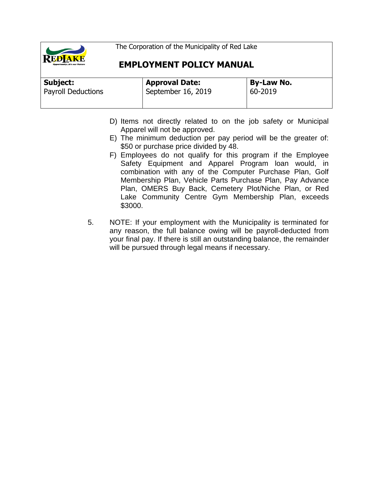

| Subject:                  | <b>Approval Date:</b> | <b>By-Law No.</b> |
|---------------------------|-----------------------|-------------------|
| <b>Payroll Deductions</b> | September 16, 2019    | 60-2019           |
|                           |                       |                   |

- D) Items not directly related to on the job safety or Municipal Apparel will not be approved.
- E) The minimum deduction per pay period will be the greater of: \$50 or purchase price divided by 48.
- F) Employees do not qualify for this program if the Employee Safety Equipment and Apparel Program loan would, in combination with any of the Computer Purchase Plan, Golf Membership Plan, Vehicle Parts Purchase Plan, Pay Advance Plan, OMERS Buy Back, Cemetery Plot/Niche Plan, or Red Lake Community Centre Gym Membership Plan, exceeds \$3000.
- 5. NOTE: If your employment with the Municipality is terminated for any reason, the full balance owing will be payroll-deducted from your final pay. If there is still an outstanding balance, the remainder will be pursued through legal means if necessary.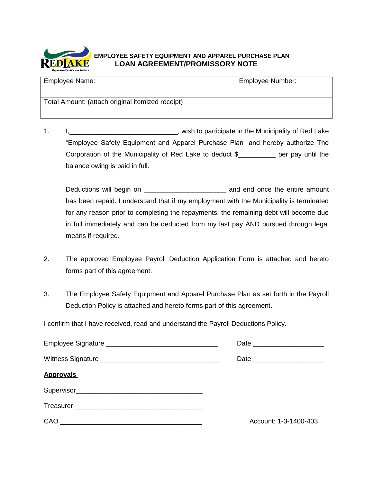

#### **EMPLOYEE SAFETY EQUIPMENT AND APPAREL PURCHASE PLAN LOAN AGREEMENT/PROMISSORY NOTE**

| Employee Name:                                   | <b>Employee Number:</b> |
|--------------------------------------------------|-------------------------|
| Total Amount: (attach original itemized receipt) |                         |

1. I<sub>1</sub>\_\_\_\_\_\_\_\_\_\_\_\_\_\_\_\_\_\_\_\_\_\_\_\_\_\_\_\_\_\_\_\_, wish to participate in the Municipality of Red Lake "Employee Safety Equipment and Apparel Purchase Plan" and hereby authorize The Corporation of the Municipality of Red Lake to deduct \$\_\_\_\_\_\_\_\_\_\_ per pay until the balance owing is paid in full.

Deductions will begin on \_\_\_\_\_\_\_\_\_\_\_\_\_\_\_\_\_\_\_\_\_\_ and end once the entire amount has been repaid. I understand that if my employment with the Municipality is terminated for any reason prior to completing the repayments, the remaining debt will become due in full immediately and can be deducted from my last pay AND pursued through legal means if required.

- 2. The approved Employee Payroll Deduction Application Form is attached and hereto forms part of this agreement.
- 3. The Employee Safety Equipment and Apparel Purchase Plan as set forth in the Payroll Deduction Policy is attached and hereto forms part of this agreement.

|                  | Date ________________________  |
|------------------|--------------------------------|
|                  | Date _________________________ |
| <b>Approvals</b> |                                |
|                  |                                |
|                  |                                |
| CAO              | Account: 1-3-1400-403          |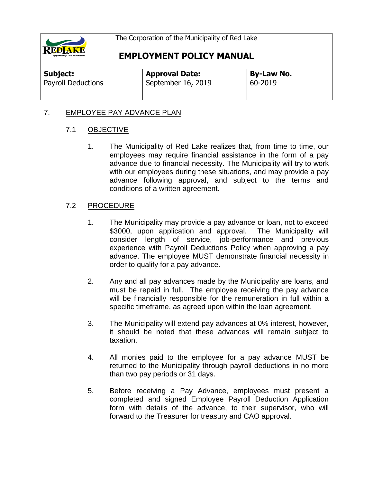

# **EMPLOYMENT POLICY MANUAL**

| <b>Subject:</b>           | <b>Approval Date:</b> | <b>By-Law No.</b> |
|---------------------------|-----------------------|-------------------|
| <b>Payroll Deductions</b> | September 16, 2019    | 60-2019           |
|                           |                       |                   |

### 7. EMPLOYEE PAY ADVANCE PLAN

#### 7.1 OBJECTIVE

1. The Municipality of Red Lake realizes that, from time to time, our employees may require financial assistance in the form of a pay advance due to financial necessity. The Municipality will try to work with our employees during these situations, and may provide a pay advance following approval, and subject to the terms and conditions of a written agreement.

- 1. The Municipality may provide a pay advance or loan, not to exceed \$3000, upon application and approval. The Municipality will consider length of service, job-performance and previous experience with Payroll Deductions Policy when approving a pay advance. The employee MUST demonstrate financial necessity in order to qualify for a pay advance.
- 2. Any and all pay advances made by the Municipality are loans, and must be repaid in full. The employee receiving the pay advance will be financially responsible for the remuneration in full within a specific timeframe, as agreed upon within the loan agreement.
- 3. The Municipality will extend pay advances at 0% interest, however, it should be noted that these advances will remain subject to taxation.
- 4. All monies paid to the employee for a pay advance MUST be returned to the Municipality through payroll deductions in no more than two pay periods or 31 days.
- 5. Before receiving a Pay Advance, employees must present a completed and signed Employee Payroll Deduction Application form with details of the advance, to their supervisor, who will forward to the Treasurer for treasury and CAO approval.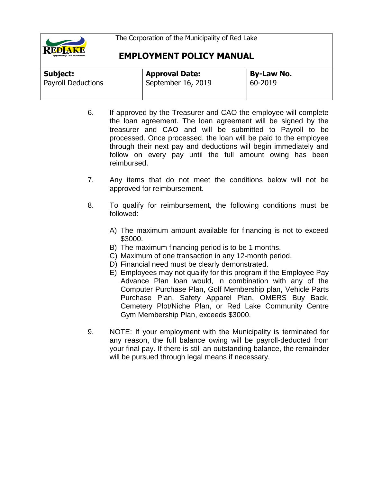

| Subject:                  | <b>Approval Date:</b> | <b>By-Law No.</b> |
|---------------------------|-----------------------|-------------------|
| <b>Payroll Deductions</b> | September 16, 2019    | 60-2019           |
|                           |                       |                   |

- 6. If approved by the Treasurer and CAO the employee will complete the loan agreement. The loan agreement will be signed by the treasurer and CAO and will be submitted to Payroll to be processed. Once processed, the loan will be paid to the employee through their next pay and deductions will begin immediately and follow on every pay until the full amount owing has been reimbursed.
- 7. Any items that do not meet the conditions below will not be approved for reimbursement.
- 8. To qualify for reimbursement, the following conditions must be followed:
	- A) The maximum amount available for financing is not to exceed \$3000.
	- B) The maximum financing period is to be 1 months.
	- C) Maximum of one transaction in any 12-month period.
	- D) Financial need must be clearly demonstrated.
	- E) Employees may not qualify for this program if the Employee Pay Advance Plan loan would, in combination with any of the Computer Purchase Plan, Golf Membership plan, Vehicle Parts Purchase Plan, Safety Apparel Plan, OMERS Buy Back, Cemetery Plot/Niche Plan, or Red Lake Community Centre Gym Membership Plan, exceeds \$3000.
- 9. NOTE: If your employment with the Municipality is terminated for any reason, the full balance owing will be payroll-deducted from your final pay. If there is still an outstanding balance, the remainder will be pursued through legal means if necessary.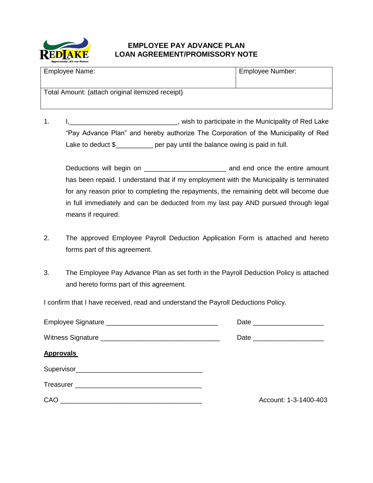

### **EMPLOYEE PAY ADVANCE PLAN LOAN AGREEMENT/PROMISSORY NOTE**

| Employee Name:                                   | Employee Number: |
|--------------------------------------------------|------------------|
| Total Amount: (attach original itemized receipt) |                  |

1. I<sub>1</sub>\_\_\_\_\_\_\_\_\_\_\_\_\_\_\_\_\_\_\_\_\_\_\_\_\_\_\_\_\_\_\_, wish to participate in the Municipality of Red Lake "Pay Advance Plan" and hereby authorize The Corporation of the Municipality of Red Lake to deduct \$\_\_\_\_\_\_\_\_\_\_\_ per pay until the balance owing is paid in full.

Deductions will begin on **Deductions** will begin on has been repaid. I understand that if my employment with the Municipality is terminated for any reason prior to completing the repayments, the remaining debt will become due in full immediately and can be deducted from my last pay AND pursued through legal means if required.

- 2. The approved Employee Payroll Deduction Application Form is attached and hereto forms part of this agreement.
- 3. The Employee Pay Advance Plan as set forth in the Payroll Deduction Policy is attached and hereto forms part of this agreement.

|                                                                                                                                                                                                                                      | Date _________________________ |
|--------------------------------------------------------------------------------------------------------------------------------------------------------------------------------------------------------------------------------------|--------------------------------|
|                                                                                                                                                                                                                                      | Date _________________________ |
| <b>Approvals</b>                                                                                                                                                                                                                     |                                |
|                                                                                                                                                                                                                                      |                                |
|                                                                                                                                                                                                                                      |                                |
| CAO <u>and the contract of the contract of the contract of the contract of the contract of the contract of the contract of the contract of the contract of the contract of the contract of the contract of the contract of the c</u> | Account: 1-3-1400-403          |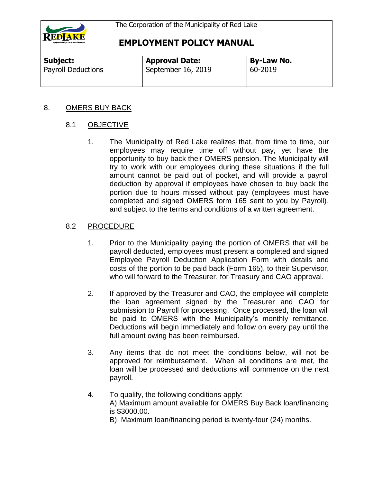

| Subject:                  | <b>Approval Date:</b> | <b>By-Law No.</b> |  |
|---------------------------|-----------------------|-------------------|--|
| <b>Payroll Deductions</b> | September 16, 2019    | 60-2019           |  |

#### 8. OMERS BUY BACK

### 8.1 OBJECTIVE

1. The Municipality of Red Lake realizes that, from time to time, our employees may require time off without pay, yet have the opportunity to buy back their OMERS pension. The Municipality will try to work with our employees during these situations if the full amount cannot be paid out of pocket, and will provide a payroll deduction by approval if employees have chosen to buy back the portion due to hours missed without pay (employees must have completed and signed OMERS form 165 sent to you by Payroll), and subject to the terms and conditions of a written agreement.

- 1. Prior to the Municipality paying the portion of OMERS that will be payroll deducted, employees must present a completed and signed Employee Payroll Deduction Application Form with details and costs of the portion to be paid back (Form 165), to their Supervisor, who will forward to the Treasurer, for Treasury and CAO approval.
- 2. If approved by the Treasurer and CAO, the employee will complete the loan agreement signed by the Treasurer and CAO for submission to Payroll for processing. Once processed, the loan will be paid to OMERS with the Municipality's monthly remittance. Deductions will begin immediately and follow on every pay until the full amount owing has been reimbursed.
- 3. Any items that do not meet the conditions below, will not be approved for reimbursement. When all conditions are met, the loan will be processed and deductions will commence on the next payroll.
- 4. To qualify, the following conditions apply: A) Maximum amount available for OMERS Buy Back loan/financing is \$3000.00.
	- B) Maximum loan/financing period is twenty-four (24) months.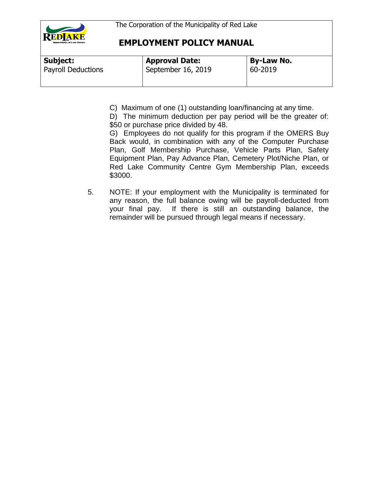

| Subject:                  | <b>Approval Date:</b> | <b>By-Law No.</b> |
|---------------------------|-----------------------|-------------------|
| <b>Payroll Deductions</b> | September 16, 2019    | 60-2019           |
|                           |                       |                   |

C) Maximum of one (1) outstanding loan/financing at any time.

D) The minimum deduction per pay period will be the greater of: \$50 or purchase price divided by 48.

G) Employees do not qualify for this program if the OMERS Buy Back would, in combination with any of the Computer Purchase Plan, Golf Membership Purchase, Vehicle Parts Plan, Safety Equipment Plan, Pay Advance Plan, Cemetery Plot/Niche Plan, or Red Lake Community Centre Gym Membership Plan, exceeds \$3000.

5. NOTE: If your employment with the Municipality is terminated for any reason, the full balance owing will be payroll-deducted from your final pay. If there is still an outstanding balance, the remainder will be pursued through legal means if necessary.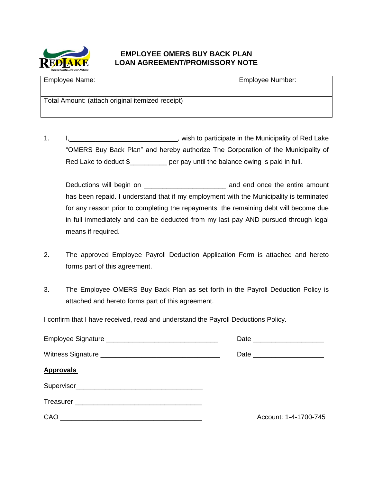

### **EMPLOYEE OMERS BUY BACK PLAN LOAN AGREEMENT/PROMISSORY NOTE**

| <b>Employee Name:</b>                            | Employee Number: |
|--------------------------------------------------|------------------|
| Total Amount: (attach original itemized receipt) |                  |

1. I<sub>1</sub>\_\_\_\_\_\_\_\_\_\_\_\_\_\_\_\_\_\_\_\_\_\_\_\_\_\_\_\_\_\_\_, wish to participate in the Municipality of Red Lake "OMERS Buy Back Plan" and hereby authorize The Corporation of the Municipality of Red Lake to deduct \$ per pay until the balance owing is paid in full.

Deductions will begin on **Deductions** will begin on has been repaid. I understand that if my employment with the Municipality is terminated for any reason prior to completing the repayments, the remaining debt will become due in full immediately and can be deducted from my last pay AND pursued through legal means if required.

- 2. The approved Employee Payroll Deduction Application Form is attached and hereto forms part of this agreement.
- 3. The Employee OMERS Buy Back Plan as set forth in the Payroll Deduction Policy is attached and hereto forms part of this agreement.

| <b>Approvals</b> |                       |
|------------------|-----------------------|
|                  |                       |
|                  |                       |
|                  | Account: 1-4-1700-745 |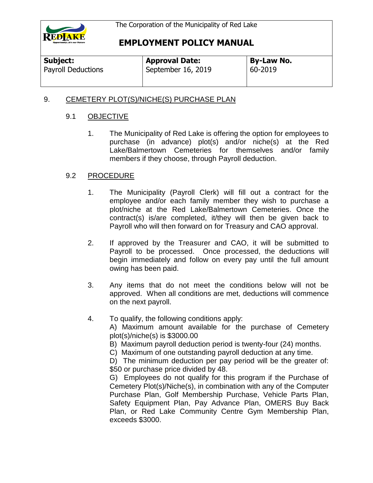

| Subject:                  | <b>Approval Date:</b> | <b>By-Law No.</b> |  |
|---------------------------|-----------------------|-------------------|--|
| <b>Payroll Deductions</b> | September 16, 2019    | 60-2019           |  |

#### 9. CEMETERY PLOT(S)/NICHE(S) PURCHASE PLAN

#### 9.1 OBJECTIVE

1. The Municipality of Red Lake is offering the option for employees to purchase (in advance) plot(s) and/or niche(s) at the Red Lake/Balmertown Cemeteries for themselves and/or family members if they choose, through Payroll deduction.

#### 9.2 PROCEDURE

- 1. The Municipality (Payroll Clerk) will fill out a contract for the employee and/or each family member they wish to purchase a plot/niche at the Red Lake/Balmertown Cemeteries. Once the contract(s) is/are completed, it/they will then be given back to Payroll who will then forward on for Treasury and CAO approval.
- 2. If approved by the Treasurer and CAO, it will be submitted to Payroll to be processed. Once processed, the deductions will begin immediately and follow on every pay until the full amount owing has been paid.
- 3. Any items that do not meet the conditions below will not be approved. When all conditions are met, deductions will commence on the next payroll.
- 4. To qualify, the following conditions apply:
	- A) Maximum amount available for the purchase of Cemetery plot(s)/niche(s) is \$3000.00
	- B) Maximum payroll deduction period is twenty-four (24) months.
	- C) Maximum of one outstanding payroll deduction at any time.

D) The minimum deduction per pay period will be the greater of: \$50 or purchase price divided by 48.

G) Employees do not qualify for this program if the Purchase of Cemetery Plot(s)/Niche(s), in combination with any of the Computer Purchase Plan, Golf Membership Purchase, Vehicle Parts Plan, Safety Equipment Plan, Pay Advance Plan, OMERS Buy Back Plan, or Red Lake Community Centre Gym Membership Plan, exceeds \$3000.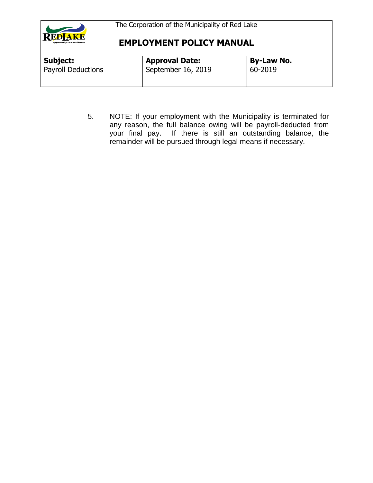

| <b>Subject:</b>           | <b>Approval Date:</b> | <b>By-Law No.</b> |  |
|---------------------------|-----------------------|-------------------|--|
| <b>Payroll Deductions</b> | September 16, 2019    | 60-2019           |  |

5. NOTE: If your employment with the Municipality is terminated for any reason, the full balance owing will be payroll-deducted from your final pay. If there is still an outstanding balance, the remainder will be pursued through legal means if necessary.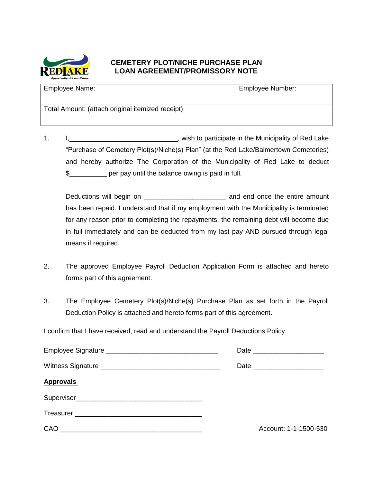

### **CEMETERY PLOT/NICHE PURCHASE PLAN LOAN AGREEMENT/PROMISSORY NOTE**

| Employee Name:                                   | Employee Number: |
|--------------------------------------------------|------------------|
| Total Amount: (attach original itemized receipt) |                  |

1. I<sub>1</sub>\_\_\_\_\_\_\_\_\_\_\_\_\_\_\_\_\_\_\_\_\_\_\_\_\_\_\_\_\_\_\_\_, wish to participate in the Municipality of Red Lake "Purchase of Cemetery Plot(s)/Niche(s) Plan" (at the Red Lake/Balmertown Cemeteries) and hereby authorize The Corporation of the Municipality of Red Lake to deduct \$\_\_\_\_\_\_\_\_\_\_ per pay until the balance owing is paid in full.

Deductions will begin on \_\_\_\_\_\_\_\_\_\_\_\_\_\_\_\_\_\_\_\_\_\_ and end once the entire amount has been repaid. I understand that if my employment with the Municipality is terminated for any reason prior to completing the repayments, the remaining debt will become due in full immediately and can be deducted from my last pay AND pursued through legal means if required.

- 2. The approved Employee Payroll Deduction Application Form is attached and hereto forms part of this agreement.
- 3. The Employee Cemetery Plot(s)/Niche(s) Purchase Plan as set forth in the Payroll Deduction Policy is attached and hereto forms part of this agreement.

| <b>Approvals</b> |                       |
|------------------|-----------------------|
|                  |                       |
|                  |                       |
|                  | Account: 1-1-1500-530 |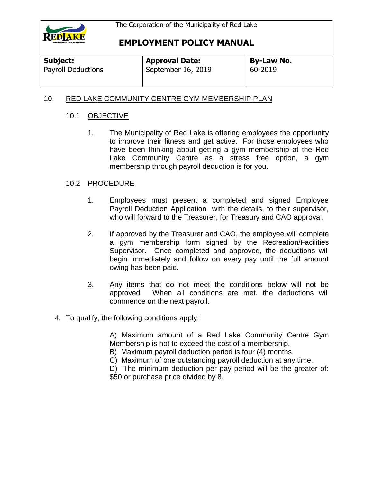

#### 10. RED LAKE COMMUNITY CENTRE GYM MEMBERSHIP PLAN

#### 10.1 OBJECTIVE

1. The Municipality of Red Lake is offering employees the opportunity to improve their fitness and get active. For those employees who have been thinking about getting a gym membership at the Red Lake Community Centre as a stress free option, a gym membership through payroll deduction is for you.

#### 10.2 PROCEDURE

- 1. Employees must present a completed and signed Employee Payroll Deduction Application with the details, to their supervisor, who will forward to the Treasurer, for Treasury and CAO approval.
- 2. If approved by the Treasurer and CAO, the employee will complete a gym membership form signed by the Recreation/Facilities Supervisor. Once completed and approved, the deductions will begin immediately and follow on every pay until the full amount owing has been paid.
- 3. Any items that do not meet the conditions below will not be approved. When all conditions are met, the deductions will commence on the next payroll.
- 4. To qualify, the following conditions apply:

A) Maximum amount of a Red Lake Community Centre Gym Membership is not to exceed the cost of a membership.

B) Maximum payroll deduction period is four (4) months.

C) Maximum of one outstanding payroll deduction at any time.

D) The minimum deduction per pay period will be the greater of: \$50 or purchase price divided by 8.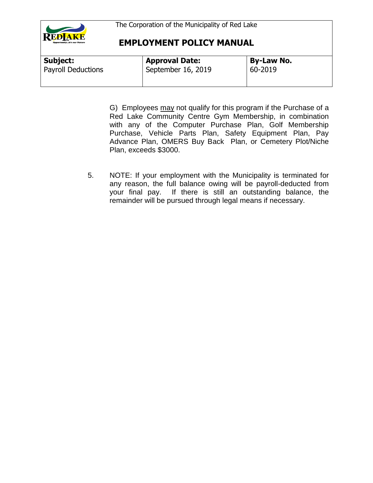

| Subject:                  | <b>Approval Date:</b> | By-Law No. |
|---------------------------|-----------------------|------------|
| <b>Payroll Deductions</b> | September 16, 2019    | 60-2019    |
|                           |                       |            |

G) Employees may not qualify for this program if the Purchase of a Red Lake Community Centre Gym Membership, in combination with any of the Computer Purchase Plan, Golf Membership Purchase, Vehicle Parts Plan, Safety Equipment Plan, Pay Advance Plan, OMERS Buy Back Plan, or Cemetery Plot/Niche Plan, exceeds \$3000.

5. NOTE: If your employment with the Municipality is terminated for any reason, the full balance owing will be payroll-deducted from your final pay. If there is still an outstanding balance, the remainder will be pursued through legal means if necessary.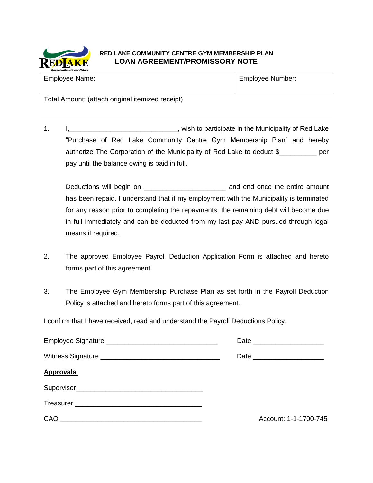

#### **RED LAKE COMMUNITY CENTRE GYM MEMBERSHIP PLAN LOAN AGREEMENT/PROMISSORY NOTE**

| Employee Name:                                   | Employee Number: |
|--------------------------------------------------|------------------|
| Total Amount: (attach original itemized receipt) |                  |

1. I,\_\_\_\_\_\_\_\_\_\_\_\_\_\_\_\_\_\_\_\_\_\_\_\_\_\_\_\_\_, wish to participate in the Municipality of Red Lake "Purchase of Red Lake Community Centre Gym Membership Plan" and hereby authorize The Corporation of the Municipality of Red Lake to deduct \$\_\_\_\_\_\_\_\_\_\_ per pay until the balance owing is paid in full.

Deductions will begin on \_\_\_\_\_\_\_\_\_\_\_\_\_\_\_\_\_\_\_\_\_\_ and end once the entire amount has been repaid. I understand that if my employment with the Municipality is terminated for any reason prior to completing the repayments, the remaining debt will become due in full immediately and can be deducted from my last pay AND pursued through legal means if required.

- 2. The approved Employee Payroll Deduction Application Form is attached and hereto forms part of this agreement.
- 3. The Employee Gym Membership Purchase Plan as set forth in the Payroll Deduction Policy is attached and hereto forms part of this agreement.

|                  | Date ________________________ |
|------------------|-------------------------------|
|                  |                               |
| <b>Approvals</b> |                               |
|                  |                               |
|                  |                               |
|                  | Account: 1-1-1700-745         |